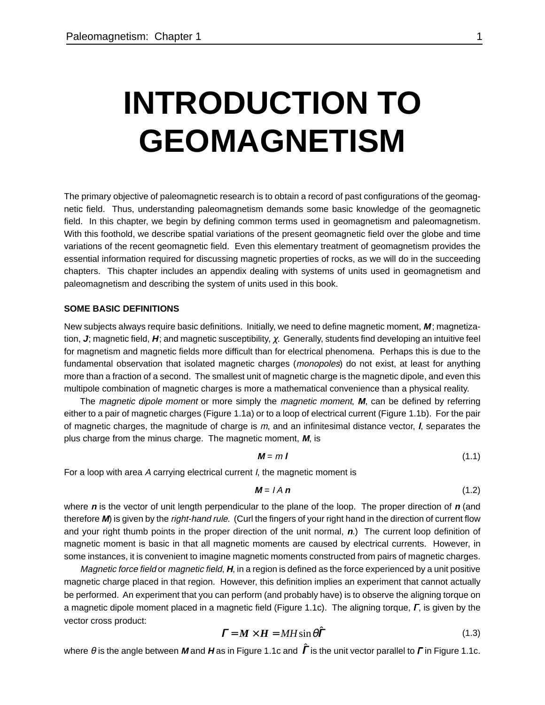# **INTRODUCTION TO GEOMAGNETISM**

The primary objective of paleomagnetic research is to obtain a record of past configurations of the geomagnetic field. Thus, understanding paleomagnetism demands some basic knowledge of the geomagnetic field. In this chapter, we begin by defining common terms used in geomagnetism and paleomagnetism. With this foothold, we describe spatial variations of the present geomagnetic field over the globe and time variations of the recent geomagnetic field. Even this elementary treatment of geomagnetism provides the essential information required for discussing magnetic properties of rocks, as we will do in the succeeding chapters. This chapter includes an appendix dealing with systems of units used in geomagnetism and paleomagnetism and describing the system of units used in this book.

## **SOME BASIC DEFINITIONS**

New subjects always require basic definitions. Initially, we need to define magnetic moment, **M** ; magnetization, **J**; magnetic field, **H**; and magnetic susceptibility, χ. Generally, students find developing an intuitive feel for magnetism and magnetic fields more difficult than for electrical phenomena. Perhaps this is due to the fundamental observation that isolated magnetic charges (*monopoles*) do not exist, at least for anything more than a fraction of a second. The smallest unit of magnetic charge is the magnetic dipole, and even this multipole combination of magnetic charges is more a mathematical convenience than a physical reality.

The magnetic dipole moment or more simply the magnetic moment, **M**, can be defined by referring either to a pair of magnetic charges (Figure 1.1a) or to a loop of electrical current (Figure 1.1b). For the pair of magnetic charges, the magnitude of charge is m, and an infinitesimal distance vector, **l**, separates the plus charge from the minus charge. The magnetic moment, **M**, is

$$
M = m I \tag{1.1}
$$

For a loop with area A carrying electrical current I, the magnetic moment is

$$
M = I A n \tag{1.2}
$$

where **n** is the vector of unit length perpendicular to the plane of the loop. The proper direction of **n** (and therefore **M**) is given by the right-hand rule. (Curl the fingers of your right hand in the direction of current flow and your right thumb points in the proper direction of the unit normal, **n**.) The current loop definition of magnetic moment is basic in that all magnetic moments are caused by electrical currents. However, in some instances, it is convenient to imagine magnetic moments constructed from pairs of magnetic charges.

Magnetic force field or magnetic field, **H**, in a region is defined as the force experienced by a unit positive magnetic charge placed in that region. However, this definition implies an experiment that cannot actually be performed. An experiment that you can perform (and probably have) is to observe the aligning torque on a magnetic dipole moment placed in a magnetic field (Figure 1.1c). The aligning torque, <sup>Γ</sup>, is given by the vector cross product:

$$
\boldsymbol{\Gamma} = \boldsymbol{M} \times \boldsymbol{H} = \boldsymbol{M} \boldsymbol{H} \sin \theta \hat{\boldsymbol{\Gamma}} \tag{1.3}
$$

where  $\theta$  is the angle between **M** and **H** as in Figure 1.1c and  $\hat{\bm{\Gamma}}$  is the unit vector parallel to  $\bm{\Gamma}$  in Figure 1.1c.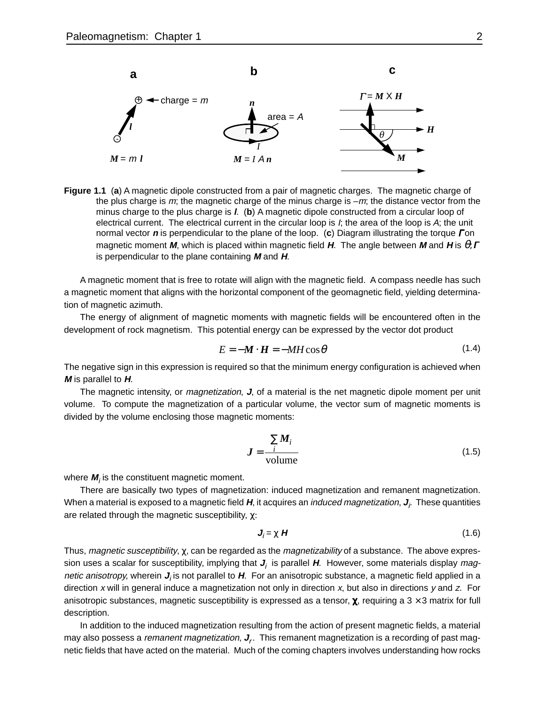

**Figure 1.1** (**a**) A magnetic dipole constructed from a pair of magnetic charges. The magnetic charge of the plus charge is  $m$ ; the magnetic charge of the minus charge is  $-m$ ; the distance vector from the minus charge to the plus charge is **l**. (**b**) A magnetic dipole constructed from a circular loop of electrical current. The electrical current in the circular loop is *; the area of the loop is*  $*A*$ *; the unit* normal vector **n** is perpendicular to the plane of the loop. (**c**) Diagram illustrating the torque Γon magnetic moment **M**, which is placed within magnetic field **H**. The angle between **M** and **H** is θ; <sup>Γ</sup> is perpendicular to the plane containing **M** and **H**.

A magnetic moment that is free to rotate will align with the magnetic field. A compass needle has such a magnetic moment that aligns with the horizontal component of the geomagnetic field, yielding determination of magnetic azimuth.

The energy of alignment of magnetic moments with magnetic fields will be encountered often in the development of rock magnetism. This potential energy can be expressed by the vector dot product

$$
E = -M \cdot H = -MH\cos\theta \tag{1.4}
$$

The negative sign in this expression is required so that the minimum energy configuration is achieved when **M** is parallel to **H**.

The magnetic intensity, or magnetization, **J**, of a material is the net magnetic dipole moment per unit volume. To compute the magnetization of a particular volume, the vector sum of magnetic moments is divided by the volume enclosing those magnetic moments:

$$
J = \frac{\sum M_i}{\text{volume}}
$$
(1.5)

where  $M_i$  is the constituent magnetic moment.

There are basically two types of magnetization: induced magnetization and remanent magnetization. When a material is exposed to a magnetic field  $H$ , it acquires an *induced magnetization,*  $J_{\dot{r}}$  *.* These quantities are related through the magnetic susceptibility,  $\chi$ :

$$
J_i = \chi H \tag{1.6}
$$

Thus, magnetic susceptibility,  $\chi$ , can be regarded as the magnetizability of a substance. The above expression uses a scalar for susceptibility, implying that  $J_i$  is parallel **H**. However, some materials display *mag*n*etic anisotropy,* wherein  $J_i$  is not parallel to  $H$ . For an anisotropic substance, a magnetic field applied in a direction  $x$  will in general induce a magnetization not only in direction  $x$ , but also in directions  $y$  and  $z$ . For anisotropic substances, magnetic susceptibility is expressed as a tensor,  $\chi$ , requiring a  $3 \times 3$  matrix for full description.

In addition to the induced magnetization resulting from the action of present magnetic fields, a material may also possess a remanent magnetization, **J**r. This remanent magnetization is a recording of past magnetic fields that have acted on the material. Much of the coming chapters involves understanding how rocks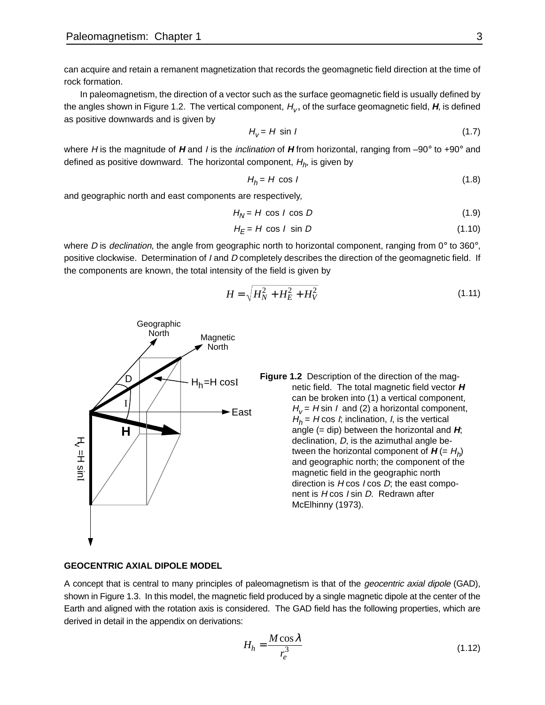can acquire and retain a remanent magnetization that records the geomagnetic field direction at the time of rock formation.

In paleomagnetism, the direction of a vector such as the surface geomagnetic field is usually defined by the angles shown in Figure 1.2. The vertical component,  $H_v$ , of the surface geomagnetic field,  $H$ , is defined as positive downwards and is given by

$$
H_v = H \sin l \tag{1.7}
$$

where H is the magnitude of **H** and I is the *inclination* of **H** from horizontal, ranging from –90° to +90° and defined as positive downward. The horizontal component,  $H_h$ , is given by

$$
H_h = H \cos l \tag{1.8}
$$

and geographic north and east components are respectively,

$$
H_N = H \cos l \cos D \tag{1.9}
$$

$$
H_E = H \cos l \sin D \tag{1.10}
$$

where D is declination, the angle from geographic north to horizontal component, ranging from  $0^{\circ}$  to 360°, positive clockwise. Determination of I and D completely describes the direction of the geomagnetic field. If the components are known, the total intensity of the field is given by

$$
H = \sqrt{H_N^2 + H_E^2 + H_V^2}
$$
 (1.11)



**Figure 1.2** Description of the direction of the magnetic field. The total magnetic field vector **H** can be broken into (1) a vertical component,  $H_v = H \sin I$  and (2) a horizontal component,  $H_h$  = H cos I; inclination, I, is the vertical angle (= dip) between the horizontal and **H**; declination, D, is the azimuthal angle between the horizontal component of  $H = H_h$ ) and geographic north; the component of the magnetic field in the geographic north direction is  $H \cos I \cos D$ ; the east component is H cos I sin D. Redrawn after McElhinny (1973).

## **GEOCENTRIC AXIAL DIPOLE MODEL**

A concept that is central to many principles of paleomagnetism is that of the geocentric axial dipole (GAD), shown in Figure 1.3. In this model, the magnetic field produced by a single magnetic dipole at the center of the Earth and aligned with the rotation axis is considered. The GAD field has the following properties, which are derived in detail in the appendix on derivations:

$$
H_h = \frac{M\cos\lambda}{r_e^3} \tag{1.12}
$$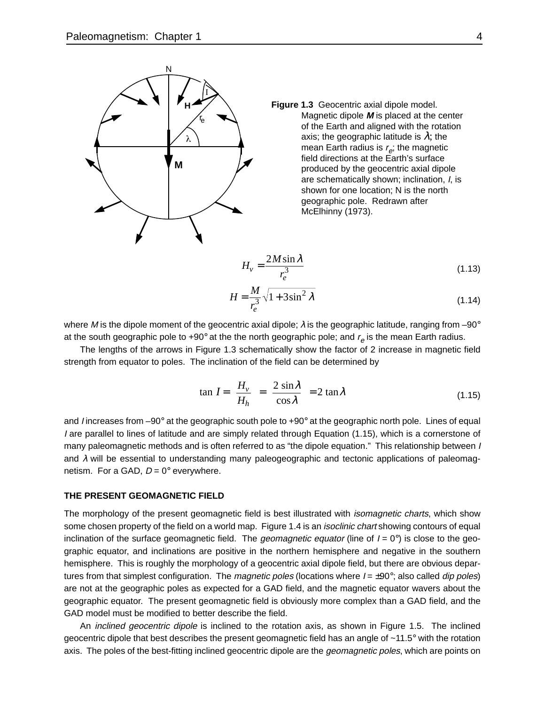

**Figure 1.3** Geocentric axial dipole model. Magnetic dipole **M** is placed at the center of the Earth and aligned with the rotation axis; the geographic latitude is  $\lambda$ ; the mean Earth radius is  $r_{e}$ ; the magnetic field directions at the Earth's surface produced by the geocentric axial dipole are schematically shown; inclination, I, is shown for one location; N is the north geographic pole. Redrawn after McElhinny (1973).

$$
H_{\nu} = \frac{2M\sin\lambda}{r_e^3} \tag{1.13}
$$

$$
H = \frac{M}{r_e^3} \sqrt{1 + 3\sin^2 \lambda}
$$
 (1.14)

where M is the dipole moment of the geocentric axial dipole;  $\lambda$  is the geographic latitude, ranging from  $-90^{\circ}$ at the south geographic pole to +90 $^{\circ}$  at the the north geographic pole; and  $r_{e}$  is the mean Earth radius.

The lengths of the arrows in Figure 1.3 schematically show the factor of 2 increase in magnetic field strength from equator to poles. The inclination of the field can be determined by

$$
\tan I = \left(\frac{H_v}{H_h}\right) = \left(\frac{2\sin\lambda}{\cos\lambda}\right) = 2\tan\lambda\tag{1.15}
$$

and *I* increases from –90° at the geographic south pole to +90° at the geographic north pole. Lines of equal I are parallel to lines of latitude and are simply related through Equation (1.15), which is a cornerstone of many paleomagnetic methods and is often referred to as "the dipole equation." This relationship between *I* and  $\lambda$  will be essential to understanding many paleogeographic and tectonic applications of paleomagnetism. For a GAD,  $D = 0^\circ$  everywhere.

#### **THE PRESENT GEOMAGNETIC FIELD**

The morphology of the present geomagnetic field is best illustrated with *isomagnetic charts*, which show some chosen property of the field on a world map. Figure 1.4 is an *isoclinic chart* showing contours of equal inclination of the surface geomagnetic field. The *geomagnetic equator* (line of  $I = 0^\circ$ ) is close to the geographic equator, and inclinations are positive in the northern hemisphere and negative in the southern hemisphere. This is roughly the morphology of a geocentric axial dipole field, but there are obvious departures from that simplest configuration. The magnetic poles (locations where  $I = \pm 90^\circ$ ; also called dip poles) are not at the geographic poles as expected for a GAD field, and the magnetic equator wavers about the geographic equator. The present geomagnetic field is obviously more complex than a GAD field, and the GAD model must be modified to better describe the field.

An *inclined geocentric dipole* is inclined to the rotation axis, as shown in Figure 1.5. The inclined geocentric dipole that best describes the present geomagnetic field has an angle of ~11.5° with the rotation axis. The poles of the best-fitting inclined geocentric dipole are the *geomagnetic poles*, which are points on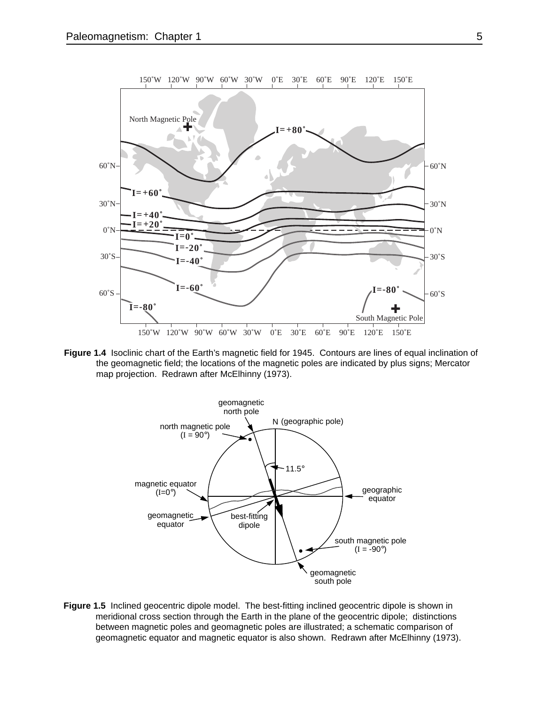

**Figure 1.4** Isoclinic chart of the Earth's magnetic field for 1945. Contours are lines of equal inclination of the geomagnetic field; the locations of the magnetic poles are indicated by plus signs; Mercator map projection. Redrawn after McElhinny (1973).



**Figure 1.5** Inclined geocentric dipole model. The best-fitting inclined geocentric dipole is shown in meridional cross section through the Earth in the plane of the geocentric dipole; distinctions between magnetic poles and geomagnetic poles are illustrated; a schematic comparison of geomagnetic equator and magnetic equator is also shown. Redrawn after McElhinny (1973).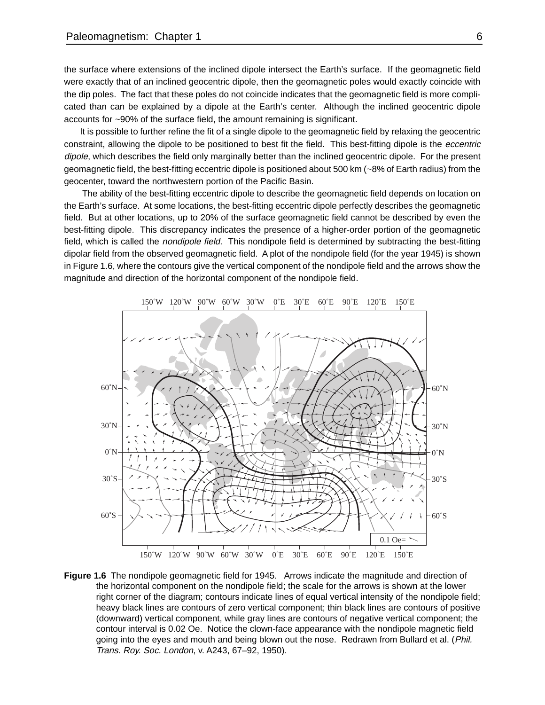the surface where extensions of the inclined dipole intersect the Earth's surface. If the geomagnetic field were exactly that of an inclined geocentric dipole, then the geomagnetic poles would exactly coincide with the dip poles. The fact that these poles do not coincide indicates that the geomagnetic field is more complicated than can be explained by a dipole at the Earth's center. Although the inclined geocentric dipole accounts for ~90% of the surface field, the amount remaining is significant.

It is possible to further refine the fit of a single dipole to the geomagnetic field by relaxing the geocentric constraint, allowing the dipole to be positioned to best fit the field. This best-fitting dipole is the *eccentric* dipole, which describes the field only marginally better than the inclined geocentric dipole. For the present geomagnetic field, the best-fitting eccentric dipole is positioned about 500 km (~8% of Earth radius) from the geocenter, toward the northwestern portion of the Pacific Basin.

 The ability of the best-fitting eccentric dipole to describe the geomagnetic field depends on location on the Earth's surface. At some locations, the best-fitting eccentric dipole perfectly describes the geomagnetic field. But at other locations, up to 20% of the surface geomagnetic field cannot be described by even the best-fitting dipole. This discrepancy indicates the presence of a higher-order portion of the geomagnetic field, which is called the *nondipole field*. This nondipole field is determined by subtracting the best-fitting dipolar field from the observed geomagnetic field. A plot of the nondipole field (for the year 1945) is shown in Figure 1.6, where the contours give the vertical component of the nondipole field and the arrows show the magnitude and direction of the horizontal component of the nondipole field.



**Figure 1.6** The nondipole geomagnetic field for 1945. Arrows indicate the magnitude and direction of the horizontal component on the nondipole field; the scale for the arrows is shown at the lower right corner of the diagram; contours indicate lines of equal vertical intensity of the nondipole field; heavy black lines are contours of zero vertical component; thin black lines are contours of positive (downward) vertical component, while gray lines are contours of negative vertical component; the contour interval is 0.02 Oe. Notice the clown-face appearance with the nondipole magnetic field going into the eyes and mouth and being blown out the nose. Redrawn from Bullard et al. (Phil. Trans. Roy. Soc. London, v. A243, 67–92, 1950).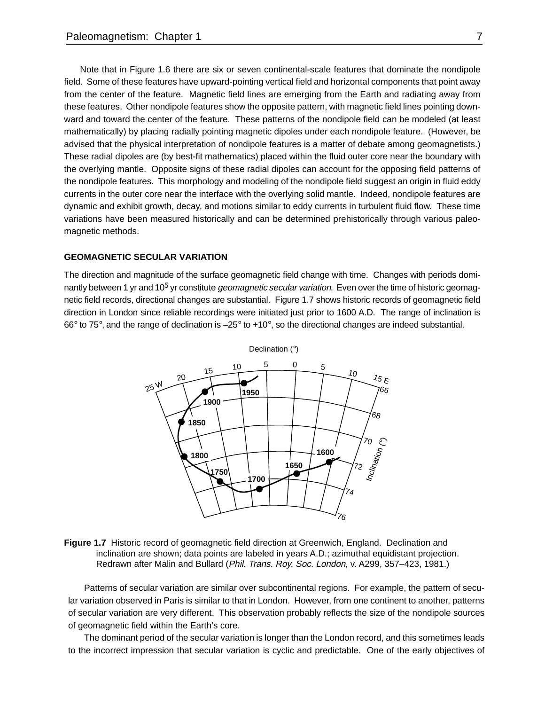Note that in Figure 1.6 there are six or seven continental-scale features that dominate the nondipole field. Some of these features have upward-pointing vertical field and horizontal components that point away from the center of the feature. Magnetic field lines are emerging from the Earth and radiating away from these features. Other nondipole features show the opposite pattern, with magnetic field lines pointing downward and toward the center of the feature. These patterns of the nondipole field can be modeled (at least mathematically) by placing radially pointing magnetic dipoles under each nondipole feature. (However, be advised that the physical interpretation of nondipole features is a matter of debate among geomagnetists.) These radial dipoles are (by best-fit mathematics) placed within the fluid outer core near the boundary with the overlying mantle. Opposite signs of these radial dipoles can account for the opposing field patterns of the nondipole features. This morphology and modeling of the nondipole field suggest an origin in fluid eddy currents in the outer core near the interface with the overlying solid mantle. Indeed, nondipole features are dynamic and exhibit growth, decay, and motions similar to eddy currents in turbulent fluid flow. These time variations have been measured historically and can be determined prehistorically through various paleomagnetic methods.

## **GEOMAGNETIC SECULAR VARIATION**

The direction and magnitude of the surface geomagnetic field change with time. Changes with periods dominantly between 1 yr and 10<sup>5</sup> yr constitute *geomagnetic secular variation*. Even over the time of historic geomagnetic field records, directional changes are substantial. Figure 1.7 shows historic records of geomagnetic field direction in London since reliable recordings were initiated just prior to 1600 A.D. The range of inclination is 66° to 75°, and the range of declination is –25° to +10°, so the directional changes are indeed substantial.



**Figure 1.7** Historic record of geomagnetic field direction at Greenwich, England. Declination and inclination are shown; data points are labeled in years A.D.; azimuthal equidistant projection. Redrawn after Malin and Bullard (Phil. Trans. Roy. Soc. London, v. A299, 357-423, 1981.)

Patterns of secular variation are similar over subcontinental regions. For example, the pattern of secular variation observed in Paris is similar to that in London. However, from one continent to another, patterns of secular variation are very different. This observation probably reflects the size of the nondipole sources of geomagnetic field within the Earth's core.

The dominant period of the secular variation is longer than the London record, and this sometimes leads to the incorrect impression that secular variation is cyclic and predictable. One of the early objectives of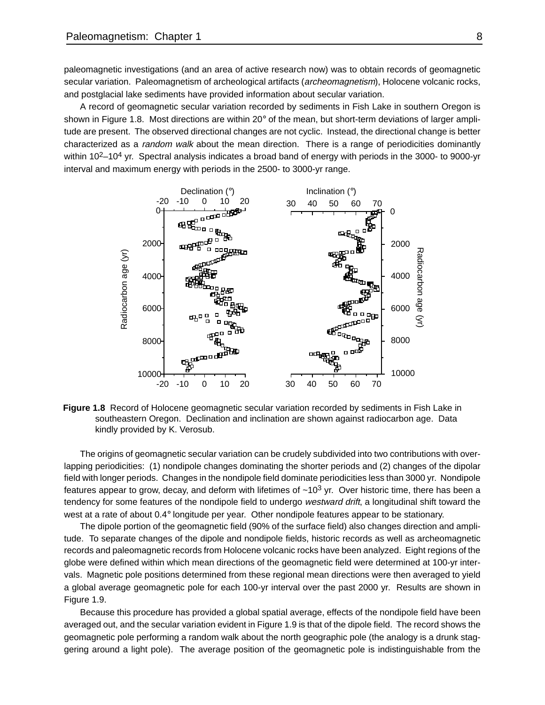paleomagnetic investigations (and an area of active research now) was to obtain records of geomagnetic secular variation. Paleomagnetism of archeological artifacts (*archeomagnetism*), Holocene volcanic rocks, and postglacial lake sediments have provided information about secular variation.

A record of geomagnetic secular variation recorded by sediments in Fish Lake in southern Oregon is shown in Figure 1.8. Most directions are within 20° of the mean, but short-term deviations of larger amplitude are present. The observed directional changes are not cyclic. Instead, the directional change is better characterized as a random walk about the mean direction. There is a range of periodicities dominantly within 10<sup>2</sup>–10<sup>4</sup> yr. Spectral analysis indicates a broad band of energy with periods in the 3000- to 9000-yr interval and maximum energy with periods in the 2500- to 3000-yr range.



**Figure 1.8** Record of Holocene geomagnetic secular variation recorded by sediments in Fish Lake in southeastern Oregon. Declination and inclination are shown against radiocarbon age. Data kindly provided by K. Verosub.

The origins of geomagnetic secular variation can be crudely subdivided into two contributions with overlapping periodicities: (1) nondipole changes dominating the shorter periods and (2) changes of the dipolar field with longer periods. Changes in the nondipole field dominate periodicities less than 3000 yr. Nondipole features appear to grow, decay, and deform with lifetimes of  $~10<sup>3</sup>$  yr. Over historic time, there has been a tendency for some features of the nondipole field to undergo westward drift, a longitudinal shift toward the west at a rate of about 0.4° longitude per year. Other nondipole features appear to be stationary.

The dipole portion of the geomagnetic field (90% of the surface field) also changes direction and amplitude. To separate changes of the dipole and nondipole fields, historic records as well as archeomagnetic records and paleomagnetic records from Holocene volcanic rocks have been analyzed. Eight regions of the globe were defined within which mean directions of the geomagnetic field were determined at 100-yr intervals. Magnetic pole positions determined from these regional mean directions were then averaged to yield a global average geomagnetic pole for each 100-yr interval over the past 2000 yr. Results are shown in Figure 1.9.

Because this procedure has provided a global spatial average, effects of the nondipole field have been averaged out, and the secular variation evident in Figure 1.9 is that of the dipole field. The record shows the geomagnetic pole performing a random walk about the north geographic pole (the analogy is a drunk staggering around a light pole). The average position of the geomagnetic pole is indistinguishable from the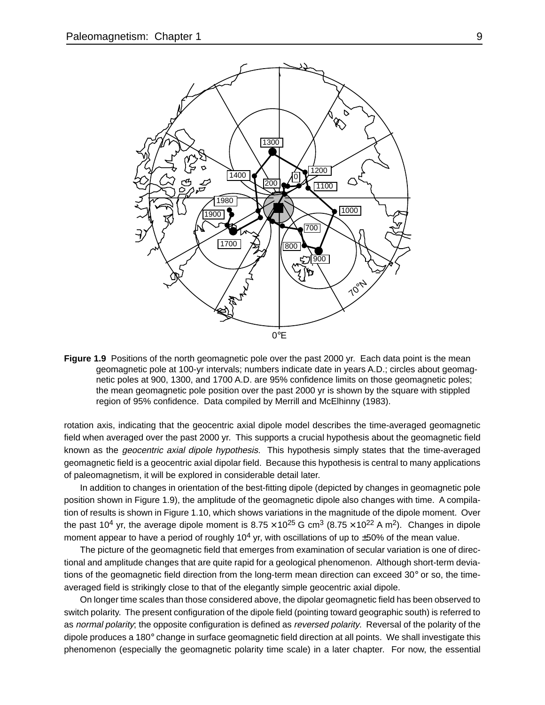

**Figure 1.9** Positions of the north geomagnetic pole over the past 2000 yr. Each data point is the mean geomagnetic pole at 100-yr intervals; numbers indicate date in years A.D.; circles about geomagnetic poles at 900, 1300, and 1700 A.D. are 95% confidence limits on those geomagnetic poles; the mean geomagnetic pole position over the past 2000 yr is shown by the square with stippled region of 95% confidence. Data compiled by Merrill and McElhinny (1983).

rotation axis, indicating that the geocentric axial dipole model describes the time-averaged geomagnetic field when averaged over the past 2000 yr. This supports a crucial hypothesis about the geomagnetic field known as the *geocentric axial dipole hypothesis*. This hypothesis simply states that the time-averaged geomagnetic field is a geocentric axial dipolar field. Because this hypothesis is central to many applications of paleomagnetism, it will be explored in considerable detail later.

In addition to changes in orientation of the best-fitting dipole (depicted by changes in geomagnetic pole position shown in Figure 1.9), the amplitude of the geomagnetic dipole also changes with time. A compilation of results is shown in Figure 1.10, which shows variations in the magnitude of the dipole moment. Over the past 10<sup>4</sup> yr, the average dipole moment is  $8.75 \times 10^{25}$  G cm<sup>3</sup> ( $8.75 \times 10^{22}$  A m<sup>2</sup>). Changes in dipole moment appear to have a period of roughly 10<sup>4</sup> yr, with oscillations of up to  $\pm 50\%$  of the mean value.

The picture of the geomagnetic field that emerges from examination of secular variation is one of directional and amplitude changes that are quite rapid for a geological phenomenon. Although short-term deviations of the geomagnetic field direction from the long-term mean direction can exceed 30° or so, the timeaveraged field is strikingly close to that of the elegantly simple geocentric axial dipole.

On longer time scales than those considered above, the dipolar geomagnetic field has been observed to switch polarity. The present configuration of the dipole field (pointing toward geographic south) is referred to as normal polarity; the opposite configuration is defined as reversed polarity. Reversal of the polarity of the dipole produces a 180° change in surface geomagnetic field direction at all points. We shall investigate this phenomenon (especially the geomagnetic polarity time scale) in a later chapter. For now, the essential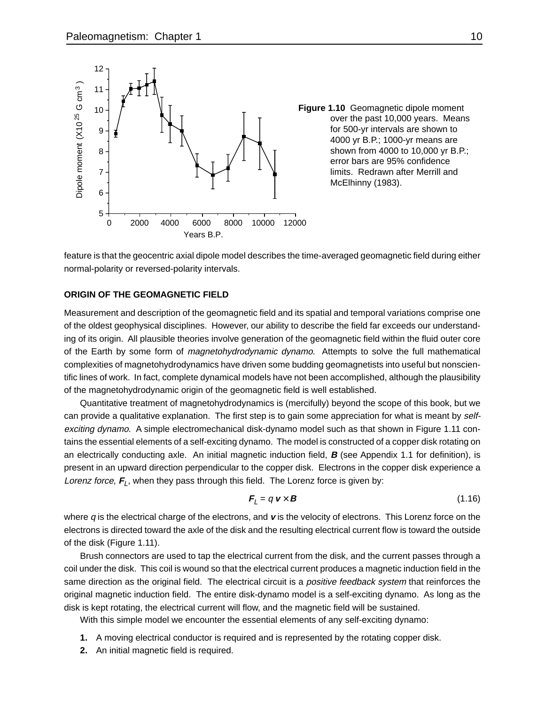

feature is that the geocentric axial dipole model describes the time-averaged geomagnetic field during either normal-polarity or reversed-polarity intervals.

# **ORIGIN OF THE GEOMAGNETIC FIELD**

Measurement and description of the geomagnetic field and its spatial and temporal variations comprise one of the oldest geophysical disciplines. However, our ability to describe the field far exceeds our understanding of its origin. All plausible theories involve generation of the geomagnetic field within the fluid outer core of the Earth by some form of magnetohydrodynamic dynamo. Attempts to solve the full mathematical complexities of magnetohydrodynamics have driven some budding geomagnetists into useful but nonscientific lines of work. In fact, complete dynamical models have not been accomplished, although the plausibility of the magnetohydrodynamic origin of the geomagnetic field is well established.

Quantitative treatment of magnetohydrodynamics is (mercifully) beyond the scope of this book, but we can provide a qualitative explanation. The first step is to gain some appreciation for what is meant by selfexciting dynamo. A simple electromechanical disk-dynamo model such as that shown in Figure 1.11 contains the essential elements of a self-exciting dynamo. The model is constructed of a copper disk rotating on an electrically conducting axle. An initial magnetic induction field, **B** (see Appendix 1.1 for definition), is present in an upward direction perpendicular to the copper disk. Electrons in the copper disk experience a Lorenz force,  $F_L$ , when they pass through this field. The Lorenz force is given by:

$$
\boldsymbol{F}_L = \boldsymbol{q} \ \boldsymbol{v} \times \boldsymbol{B} \tag{1.16}
$$

where q is the electrical charge of the electrons, and **v** is the velocity of electrons. This Lorenz force on the electrons is directed toward the axle of the disk and the resulting electrical current flow is toward the outside of the disk (Figure 1.11).

Brush connectors are used to tap the electrical current from the disk, and the current passes through a coil under the disk. This coil is wound so that the electrical current produces a magnetic induction field in the same direction as the original field. The electrical circuit is a positive feedback system that reinforces the original magnetic induction field. The entire disk-dynamo model is a self-exciting dynamo. As long as the disk is kept rotating, the electrical current will flow, and the magnetic field will be sustained.

With this simple model we encounter the essential elements of any self-exciting dynamo:

- **1.** A moving electrical conductor is required and is represented by the rotating copper disk.
- **2.** An initial magnetic field is required.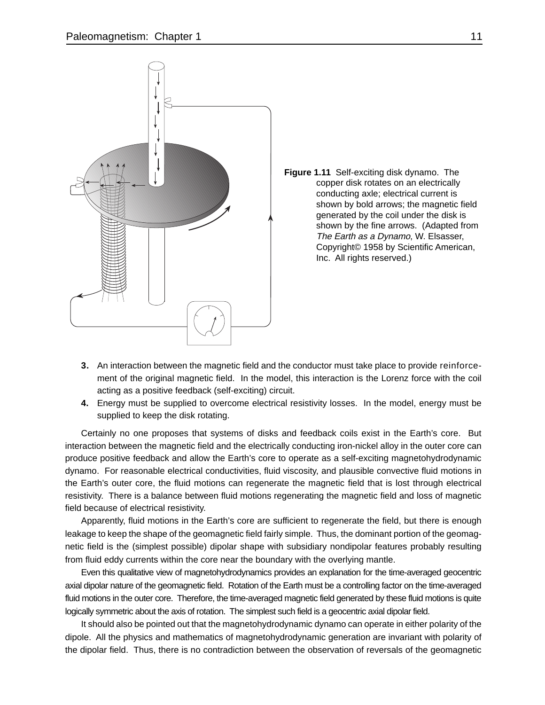



- **3.** An interaction between the magnetic field and the conductor must take place to provide reinforcement of the original magnetic field. In the model, this interaction is the Lorenz force with the coil acting as a positive feedback (self-exciting) circuit.
- **4.** Energy must be supplied to overcome electrical resistivity losses. In the model, energy must be supplied to keep the disk rotating.

Certainly no one proposes that systems of disks and feedback coils exist in the Earth's core. But interaction between the magnetic field and the electrically conducting iron-nickel alloy in the outer core can produce positive feedback and allow the Earth's core to operate as a self-exciting magnetohydrodynamic dynamo. For reasonable electrical conductivities, fluid viscosity, and plausible convective fluid motions in the Earth's outer core, the fluid motions can regenerate the magnetic field that is lost through electrical resistivity. There is a balance between fluid motions regenerating the magnetic field and loss of magnetic field because of electrical resistivity.

Apparently, fluid motions in the Earth's core are sufficient to regenerate the field, but there is enough leakage to keep the shape of the geomagnetic field fairly simple. Thus, the dominant portion of the geomagnetic field is the (simplest possible) dipolar shape with subsidiary nondipolar features probably resulting from fluid eddy currents within the core near the boundary with the overlying mantle.

Even this qualitative view of magnetohydrodynamics provides an explanation for the time-averaged geocentric axial dipolar nature of the geomagnetic field. Rotation of the Earth must be a controlling factor on the time-averaged fluid motions in the outer core. Therefore, the time-averaged magnetic field generated by these fluid motions is quite logically symmetric about the axis of rotation. The simplest such field is a geocentric axial dipolar field.

It should also be pointed out that the magnetohydrodynamic dynamo can operate in either polarity of the dipole. All the physics and mathematics of magnetohydrodynamic generation are invariant with polarity of the dipolar field. Thus, there is no contradiction between the observation of reversals of the geomagnetic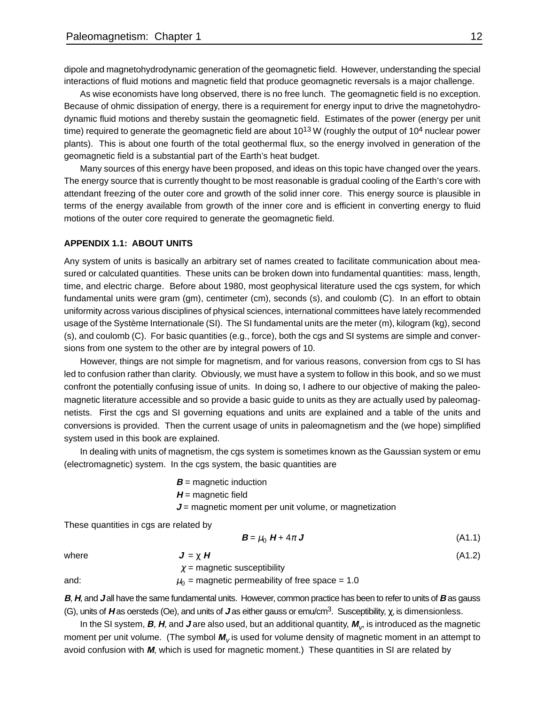dipole and magnetohydrodynamic generation of the geomagnetic field. However, understanding the special interactions of fluid motions and magnetic field that produce geomagnetic reversals is a major challenge.

As wise economists have long observed, there is no free lunch. The geomagnetic field is no exception. Because of ohmic dissipation of energy, there is a requirement for energy input to drive the magnetohydrodynamic fluid motions and thereby sustain the geomagnetic field. Estimates of the power (energy per unit time) required to generate the geomagnetic field are about  $10^{13}$  W (roughly the output of  $10^4$  nuclear power plants). This is about one fourth of the total geothermal flux, so the energy involved in generation of the geomagnetic field is a substantial part of the Earth's heat budget.

Many sources of this energy have been proposed, and ideas on this topic have changed over the years. The energy source that is currently thought to be most reasonable is gradual cooling of the Earth's core with attendant freezing of the outer core and growth of the solid inner core. This energy source is plausible in terms of the energy available from growth of the inner core and is efficient in converting energy to fluid motions of the outer core required to generate the geomagnetic field.

## **APPENDIX 1.1: ABOUT UNITS**

Any system of units is basically an arbitrary set of names created to facilitate communication about measured or calculated quantities. These units can be broken down into fundamental quantities: mass, length, time, and electric charge. Before about 1980, most geophysical literature used the cgs system, for which fundamental units were gram (gm), centimeter (cm), seconds (s), and coulomb (C). In an effort to obtain uniformity across various disciplines of physical sciences, international committees have lately recommended usage of the Système Internationale (SI). The SI fundamental units are the meter (m), kilogram (kg), second (s), and coulomb (C). For basic quantities (e.g., force), both the cgs and SI systems are simple and conversions from one system to the other are by integral powers of 10.

However, things are not simple for magnetism, and for various reasons, conversion from cgs to SI has led to confusion rather than clarity. Obviously, we must have a system to follow in this book, and so we must confront the potentially confusing issue of units. In doing so, I adhere to our objective of making the paleomagnetic literature accessible and so provide a basic guide to units as they are actually used by paleomagnetists. First the cgs and SI governing equations and units are explained and a table of the units and conversions is provided. Then the current usage of units in paleomagnetism and the (we hope) simplified system used in this book are explained.

In dealing with units of magnetism, the cgs system is sometimes known as the Gaussian system or emu (electromagnetic) system. In the cgs system, the basic quantities are

> **= magnetic induction**  $H =$  magnetic field **J** = magnetic moment per unit volume, or magnetization

These quantities in cgs are related by

$$
\mathbf{B} = \mu_0 \ \mathbf{H} + 4\pi \ \mathbf{J} \tag{A1.1}
$$

where  $J = \chi H$  (A1.2)

 $\chi$  = magnetic susceptibility

and:  $\mu_0$  = magnetic permeability of free space = 1.0

**B**, **H**, and **J** all have the same fundamental units. However, common practice has been to refer to units of **B** as gauss (G), units of **H** as oersteds (Oe), and units of **<sup>J</sup>** as either gauss or emu/cm3. Susceptibility, χ, is dimensionless.

In the SI system, **B**, **H**, and **J** are also used, but an additional quantity,  $M_{v}$ , is introduced as the magnetic moment per unit volume. (The symbol  $M_{\nu}$  is used for volume density of magnetic moment in an attempt to avoid confusion with **M**, which is used for magnetic moment.) These quantities in SI are related by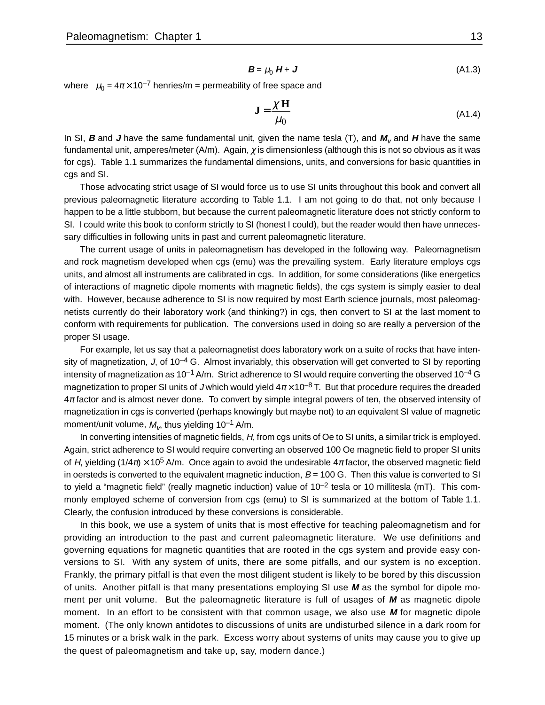$$
\mathbf{B} = \mu_0 \, \mathbf{H} + \mathbf{J} \tag{A1.3}
$$

where  $\mu_0 = 4\pi \times 10^{-7}$  henries/m = permeability of free space and

$$
\mathbf{J} = \frac{\boldsymbol{\chi} \, \mathbf{H}}{\mu_0} \tag{A1.4}
$$

In SI, **B** and **J** have the same fundamental unit, given the name tesla (T), and  $M_v$  and **H** have the same fundamental unit, amperes/meter (A/m). Again,  $\chi$  is dimensionless (although this is not so obvious as it was for cgs). Table 1.1 summarizes the fundamental dimensions, units, and conversions for basic quantities in cgs and SI.

Those advocating strict usage of SI would force us to use SI units throughout this book and convert all previous paleomagnetic literature according to Table 1.1. I am not going to do that, not only because I happen to be a little stubborn, but because the current paleomagnetic literature does not strictly conform to SI. I could write this book to conform strictly to SI (honest I could), but the reader would then have unnecessary difficulties in following units in past and current paleomagnetic literature.

The current usage of units in paleomagnetism has developed in the following way. Paleomagnetism and rock magnetism developed when cgs (emu) was the prevailing system. Early literature employs cgs units, and almost all instruments are calibrated in cgs. In addition, for some considerations (like energetics of interactions of magnetic dipole moments with magnetic fields), the cgs system is simply easier to deal with. However, because adherence to SI is now required by most Earth science journals, most paleomagnetists currently do their laboratory work (and thinking?) in cgs, then convert to SI at the last moment to conform with requirements for publication. The conversions used in doing so are really a perversion of the proper SI usage.

For example, let us say that a paleomagnetist does laboratory work on a suite of rocks that have intensity of magnetization, J, of 10<sup>-4</sup> G. Almost invariably, this observation will get converted to SI by reporting intensity of magnetization as  $10^{-1}$  A/m. Strict adherence to SI would require converting the observed  $10^{-4}$  G magnetization to proper SI units of J which would yield  $4\pi \times 10^{-8}$  T. But that procedure requires the dreaded 4π factor and is almost never done. To convert by simple integral powers of ten, the observed intensity of magnetization in cgs is converted (perhaps knowingly but maybe not) to an equivalent SI value of magnetic moment/unit volume,  $M_{v}$ , thus yielding 10<sup>-1</sup> A/m.

In converting intensities of magnetic fields, H, from cgs units of Oe to SI units, a similar trick is employed. Again, strict adherence to SI would require converting an observed 100 Oe magnetic field to proper SI units of H, yielding (1/4π)  $\times$  10<sup>5</sup> A/m. Once again to avoid the undesirable 4π factor, the observed magnetic field in oersteds is converted to the equivalent magnetic induction,  $B = 100$  G. Then this value is converted to SI to yield a "magnetic field" (really magnetic induction) value of  $10^{-2}$  tesla or 10 millitesla (mT). This commonly employed scheme of conversion from cgs (emu) to SI is summarized at the bottom of Table 1.1. Clearly, the confusion introduced by these conversions is considerable.

In this book, we use a system of units that is most effective for teaching paleomagnetism and for providing an introduction to the past and current paleomagnetic literature. We use definitions and governing equations for magnetic quantities that are rooted in the cgs system and provide easy conversions to SI. With any system of units, there are some pitfalls, and our system is no exception. Frankly, the primary pitfall is that even the most diligent student is likely to be bored by this discussion of units. Another pitfall is that many presentations employing SI use **M** as the symbol for dipole moment per unit volume. But the paleomagnetic literature is full of usages of **M** as magnetic dipole moment. In an effort to be consistent with that common usage, we also use **M** for magnetic dipole moment. (The only known antidotes to discussions of units are undisturbed silence in a dark room for 15 minutes or a brisk walk in the park. Excess worry about systems of units may cause you to give up the quest of paleomagnetism and take up, say, modern dance.)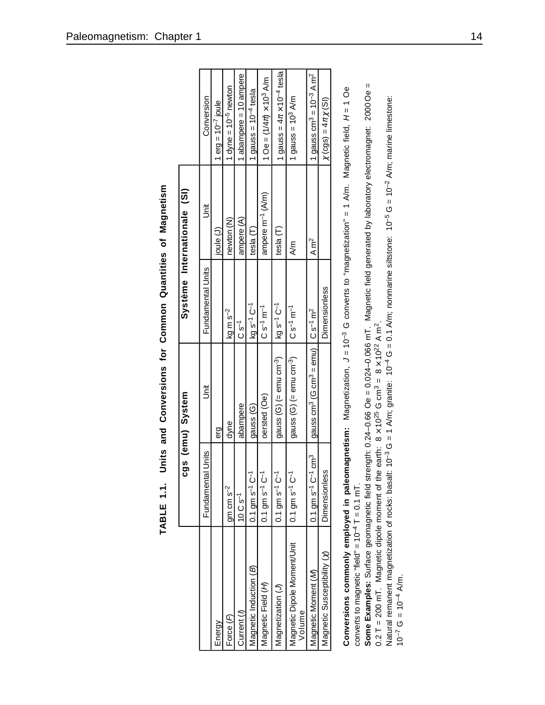|                                       | TABLE 1.1.                                       | Units and Conversions for Common Quantities of Magnetism                                |                                        |                              |                                       |
|---------------------------------------|--------------------------------------------------|-----------------------------------------------------------------------------------------|----------------------------------------|------------------------------|---------------------------------------|
|                                       |                                                  | cgs (emu) System                                                                        |                                        | Système Internationale (SI)  |                                       |
|                                       | Units<br>Fundamental                             | Š                                                                                       | Fundamental Units                      | Š                            | Conversion                            |
| Energy                                |                                                  | ο.<br>Θ                                                                                 |                                        | joule (J)                    | 1 $erg = 10^{-7}$ joule               |
| Force (F)                             | $g$ m cm s <sup>-2</sup>                         | dyne                                                                                    | $kg \,$ m s <sup><math>-2</math></sup> | newton (N)                   | 1 dyne = $10^{-5}$ newton             |
| Current ( <i>l</i> )                  | $10C$ s <sup>-1</sup>                            | abampere                                                                                | ٦<br>ن                                 | ampere (A)                   | 1 abampere $= 10$ ampere              |
| Magnetic Induction (B)                | $0.1$ gm s <sup>-1</sup> C <sup>-1</sup>         | gauss (G)                                                                               | kg s <sup>-1</sup> C <sup>-1</sup>     | tesla (T)                    | 1 gauss = $10^{-4}$ tesla             |
| Magnetic Field (H)                    | $0.1$ gm s <sup>-1</sup> C <sup>-1</sup>         | oersted (Oe)                                                                            | $Cs^{-1}$ m <sup>-1</sup>              | ampere m <sup>-1</sup> (A/m) | 1 Oe = $(1/4\pi) \times 10^3$ A/m     |
| Magnetization (J)                     | $0.1$ gm s <sup>-1</sup> $C^{-1}$                | gauss $(G)$ (= emu cm <sup>-3</sup> )                                                   | $kg s^{-1} C^{-1}$                     | tesla $(T)$                  | 1 gauss = $4\pi \times 10^{-4}$ tesla |
| Magnetic Dipole Moment/Unit<br>Volume | $0.1$ gm s <sup>-1</sup> C <sup>-1</sup>         | gauss $(G)$ (= emu cm <sup>-3</sup> )                                                   | $Cs^{-1}$ m <sup>-1</sup>              | $\frac{2}{\sqrt{2}}$         | 1 gauss = $10^3$ A/m                  |
| Magnetic Moment (M)                   | ີ້ເຮ<br>$0.1$ gm s <sup>-1</sup> C <sup>-1</sup> | gauss cm <sup>3</sup> (G cm <sup>3</sup> = emu) $\int$ C s <sup>-1</sup> m <sup>2</sup> |                                        | $Am^2$                       | 1 gauss $cm^3 = 10^{-3}$ A $m^2$      |
| Magnetic Susceptibility (x)           | <b>Dimensionless</b>                             |                                                                                         | <b>Dimensionless</b>                   |                              | $\chi$ (cgs) = 4 $\pi$ $\chi$ (SI)    |
|                                       |                                                  |                                                                                         |                                        |                              |                                       |

TABLE 1.1. Units and Conversions for Common Quantities of Magnetism

Conversions commonly employed in paleomagnetism: Magnetization, J = 10<sup>-3</sup> G converts to "magnetization" = 1 A/m. Magnetic field, H = 1 Oe H = 1 Oe  $J = 10^{-3}$  G converts to "magnetization" = 1 A/m. Magnetic field, **Conversions commonly employed in paleomagnetism:** Magnetization, converts to magnetic "field" =  $10^{-4}$  T = 0.1 mT. converts to magnetic "field" =  $10^{-4}$  T =  $0.1$  mT.

**Some Examples:** Surface geomagnetic field strength: 0.24–0.66 Oe = 0.024–0.066 mT. Magnetic field generated by laboratory electromagnet: 2000 Oe = 0.2 T = 200 mT. Magnetic dipole moment of the earth: 8  $\times 10^{25}$  G cm<sup>3</sup> = 8  $\times$  10<sup>22</sup> A .<br>٤

Natural remanent magnetization of rocks: basalt: 10–3 G = 1 A/m; granite: 10–4 G = 0.1 A/m; nonmarine siltstone: 10–5 G = 10–2 A/m; marine limestone:  $10^{-7}$  G =  $10^{-4}$  A/m.  $10^{-7}$  G =  $10^{-4}$  A/m.